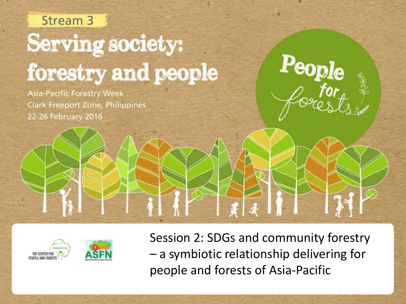# Stream<sub>3</sub> **Serving society:** forestry and people

**Asia-Pacific Forestry Week Clark Freeport Zone, Philippines** 22-26 February 2016





Session 2: SDGs and community forestry – a symbiotic relationship delivering for people and forests of Asia-Pacific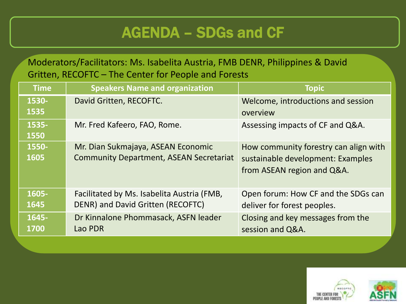#### AGENDA – SDGs and CF

Moderators/Facilitators: Ms. Isabelita Austria, FMB DENR, Philippines & David Gritten, RECOFTC – The Center for People and Forests

| <b>Time</b>   | <b>Speakers Name and organization</b>                                                | <b>Topic</b>                                                                                             |
|---------------|--------------------------------------------------------------------------------------|----------------------------------------------------------------------------------------------------------|
| 1530-<br>1535 | David Gritten, RECOFTC.                                                              | Welcome, introductions and session<br>overview                                                           |
| 1535-<br>1550 | Mr. Fred Kafeero, FAO, Rome.                                                         | Assessing impacts of CF and Q&A.                                                                         |
| 1550-<br>1605 | Mr. Dian Sukmajaya, ASEAN Economic<br><b>Community Department, ASEAN Secretariat</b> | How community forestry can align with<br>sustainable development: Examples<br>from ASEAN region and Q&A. |
| 1605-<br>1645 | Facilitated by Ms. Isabelita Austria (FMB,<br>DENR) and David Gritten (RECOFTC)      | Open forum: How CF and the SDGs can<br>deliver for forest peoples.                                       |
| 1645-<br>1700 | Dr Kinnalone Phommasack, ASFN leader<br>Lao PDR                                      | Closing and key messages from the<br>session and Q&A.                                                    |

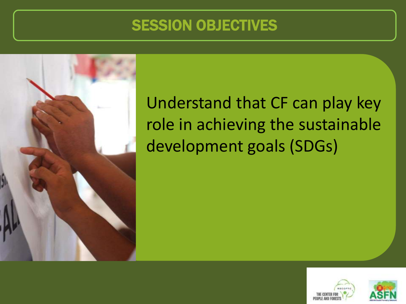#### SESSION OBJECTIVES



Understand that CF can play key role in achieving the sustainable development goals (SDGs)



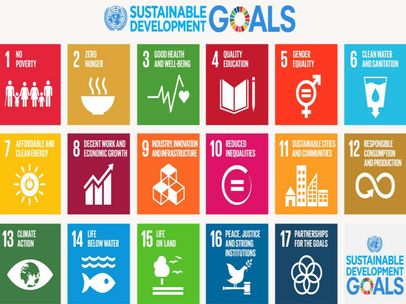

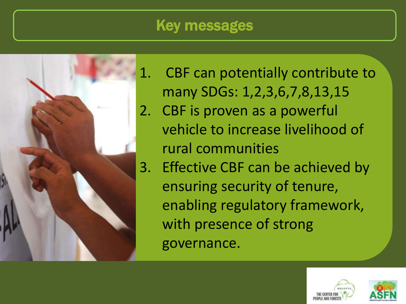#### **Key messages**



1. CBF can potentially contribute to many SDGs: 1,2,3,6,7,8,13,15 2. CBF is proven as a powerful vehicle to increase livelihood of rural communities 3. Effective CBF can be achieved by ensuring security of tenure, enabling regulatory framework, with presence of strong governance.

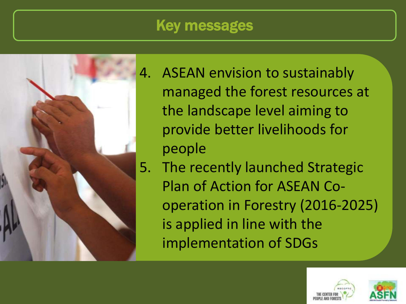#### Key messages



4. ASEAN envision to sustainably managed the forest resources at the landscape level aiming to provide better livelihoods for people

5. The recently launched Strategic Plan of Action for ASEAN Cooperation in Forestry (2016-2025) is applied in line with the implementation of SDGs